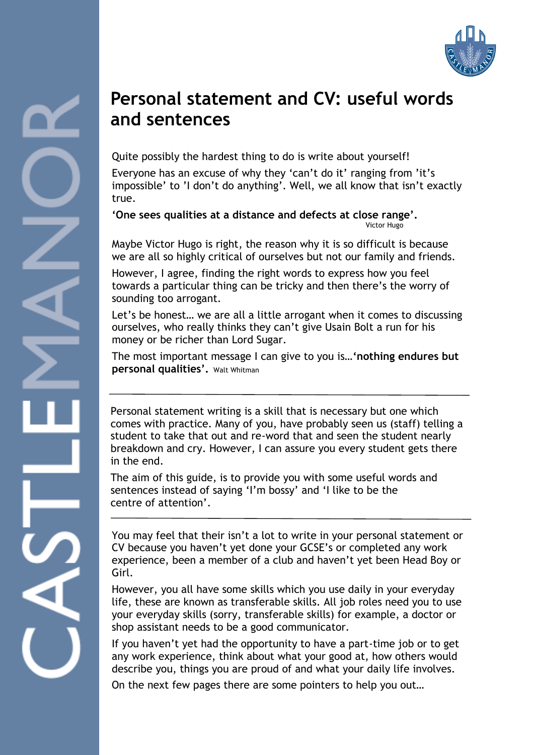

### **Personal statement and CV: useful words and sentences**

Quite possibly the hardest thing to do is write about yourself!

Everyone has an excuse of why they 'can't do it' ranging from 'it's impossible' to 'I don't do anything'. Well, we all know that isn't exactly true.

**'One sees qualities at a distance and defects at close range'.** Victor Hugo

Maybe Victor Hugo is right, the reason why it is so difficult is because we are all so highly critical of ourselves but not our family and friends.

However, I agree, finding the right words to express how you feel towards a particular thing can be tricky and then there's the worry of sounding too arrogant.

Let's be honest… we are all a little arrogant when it comes to discussing ourselves, who really thinks they can't give Usain Bolt a run for his money or be richer than Lord Sugar.

The most important message I can give to you is…**'n[othing endures but](http://www.brainyquote.com/quotes/quotes/w/waltwhitma146872.html)  [personal qualities'.](http://www.brainyquote.com/quotes/quotes/w/waltwhitma146872.html)** [Walt Whitman](http://www.brainyquote.com/quotes/authors/w/walt_whitman.html)

Personal statement writing is a skill that is necessary but one which comes with practice. Many of you, have probably seen us (staff) telling a student to take that out and re-word that and seen the student nearly breakdown and cry. However, I can assure you every student gets there in the end.

The aim of this guide, is to provide you with some useful words and sentences instead of saying 'I'm bossy' and 'I like to be the centre of attention'.

You may feel that their isn't a lot to write in your personal statement or CV because you haven't yet done your GCSE's or completed any work experience, been a member of a club and haven't yet been Head Boy or Girl.

However, you all have some skills which you use daily in your everyday life, these are known as transferable skills. All job roles need you to use your everyday skills (sorry, transferable skills) for example, a doctor or shop assistant needs to be a good communicator.

If you haven't yet had the opportunity to have a part-time job or to get any work experience, think about what your good at, how others would describe you, things you are proud of and what your daily life involves.

On the next few pages there are some pointers to help you out…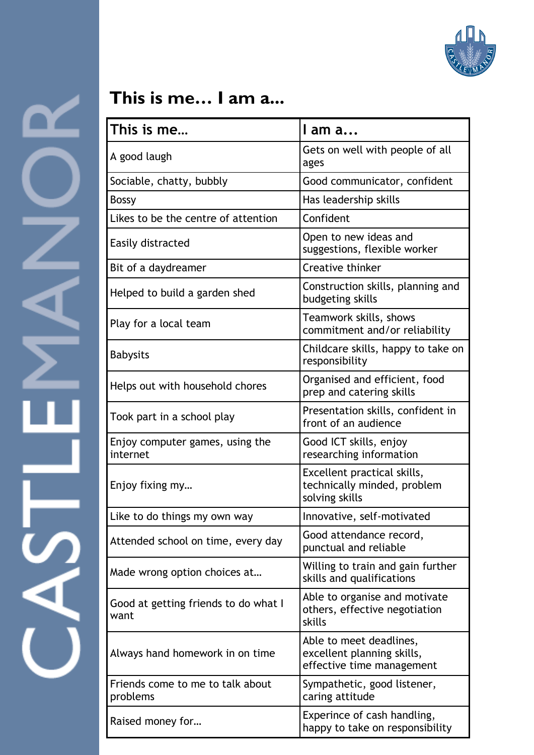

## **This is me… I am a...**

| This is me                                   | I am a                                                                             |  |
|----------------------------------------------|------------------------------------------------------------------------------------|--|
| A good laugh                                 | Gets on well with people of all<br>ages                                            |  |
| Sociable, chatty, bubbly                     | Good communicator, confident                                                       |  |
| <b>Bossy</b>                                 | Has leadership skills                                                              |  |
| Likes to be the centre of attention          | Confident                                                                          |  |
| Easily distracted                            | Open to new ideas and<br>suggestions, flexible worker                              |  |
| Bit of a daydreamer                          | Creative thinker                                                                   |  |
| Helped to build a garden shed                | Construction skills, planning and<br>budgeting skills                              |  |
| Play for a local team                        | Teamwork skills, shows<br>commitment and/or reliability                            |  |
| <b>Babysits</b>                              | Childcare skills, happy to take on<br>responsibility                               |  |
| Helps out with household chores              | Organised and efficient, food<br>prep and catering skills                          |  |
| Took part in a school play                   | Presentation skills, confident in<br>front of an audience                          |  |
| Enjoy computer games, using the<br>internet  | Good ICT skills, enjoy<br>researching information                                  |  |
| Enjoy fixing my                              | Excellent practical skills,<br>technically minded, problem<br>solving skills       |  |
| Like to do things my own way                 | Innovative, self-motivated                                                         |  |
| Attended school on time, every day           | Good attendance record,<br>punctual and reliable                                   |  |
| Made wrong option choices at                 | Willing to train and gain further<br>skills and qualifications                     |  |
| Good at getting friends to do what I<br>want | Able to organise and motivate<br>others, effective negotiation<br>skills           |  |
| Always hand homework in on time              | Able to meet deadlines,<br>excellent planning skills,<br>effective time management |  |
| Friends come to me to talk about<br>problems | Sympathetic, good listener,<br>caring attitude                                     |  |
| Raised money for                             | Experince of cash handling,<br>happy to take on responsibility                     |  |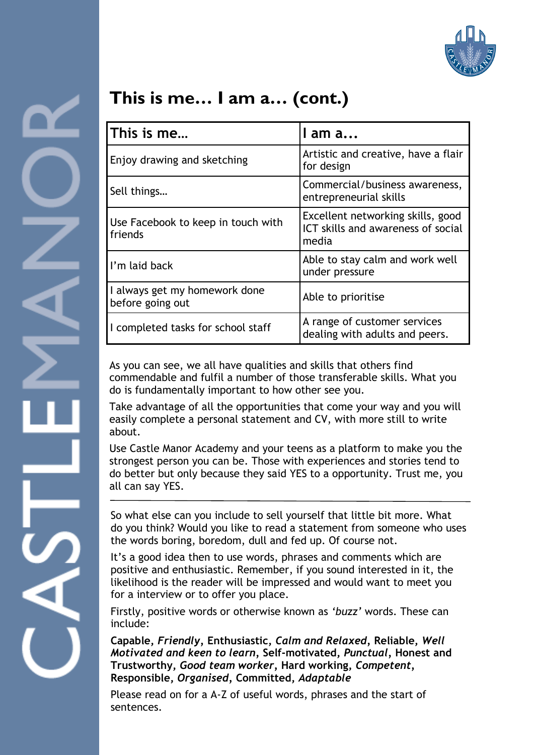

### **This is me… I am a… (cont.)**

| This is me                                        | I am a                                                                           |
|---------------------------------------------------|----------------------------------------------------------------------------------|
| Enjoy drawing and sketching                       | Artistic and creative, have a flair<br>for design                                |
| Sell things                                       | Commercial/business awareness,<br>entrepreneurial skills                         |
| Use Facebook to keep in touch with<br>friends     | Excellent networking skills, good<br>ICT skills and awareness of social<br>media |
| I'm laid back                                     | Able to stay calm and work well<br>under pressure                                |
| I always get my homework done<br>before going out | Able to prioritise                                                               |
| I completed tasks for school staff                | A range of customer services<br>dealing with adults and peers.                   |

As you can see, we all have qualities and skills that others find commendable and fulfil a number of those transferable skills. What you do is fundamentally important to how other see you.

Take advantage of all the opportunities that come your way and you will easily complete a personal statement and CV, with more still to write about.

Use Castle Manor Academy and your teens as a platform to make you the strongest person you can be. Those with experiences and stories tend to do better but only because they said YES to a opportunity. Trust me, you all can say YES.

So what else can you include to sell yourself that little bit more. What do you think? Would you like to read a statement from someone who uses the words boring, boredom, dull and fed up. Of course not.

It's a good idea then to use words, phrases and comments which are positive and enthusiastic. Remember, if you sound interested in it, the likelihood is the reader will be impressed and would want to meet you for a interview or to offer you place.

Firstly, positive words or otherwise known as *'buzz'* words. These can include:

**Capable,** *Friendly,* **Enthusiastic,** *Calm and Relaxed,* **Reliable,** *Well Motivated and keen to learn,* **Self-motivated,** *Punctual,* **Honest and Trustworthy,** *Good team worker,* **Hard working,** *Competent,*  **Responsible,** *Organised,* **Committed,** *Adaptable*

Please read on for a A-Z of useful words, phrases and the start of sentences.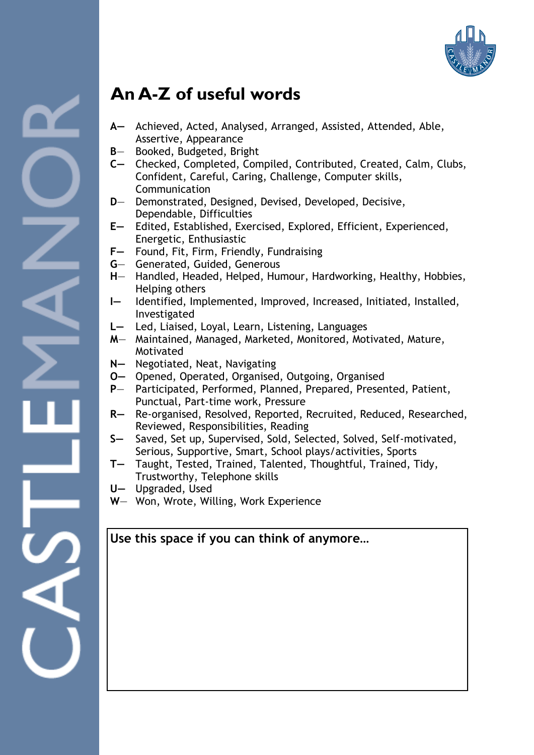

### **An A-Z of useful words**

- **A—** Achieved, Acted, Analysed, Arranged, Assisted, Attended, Able, Assertive, Appearance
- **B** Booked, Budgeted, Bright
- **C—** Checked, Completed, Compiled, Contributed, Created, Calm, Clubs, Confident, Careful, Caring, Challenge, Computer skills, Communication
- **D** Demonstrated, Designed, Devised, Developed, Decisive, Dependable, Difficulties
- **E—** Edited, Established, Exercised, Explored, Efficient, Experienced, Energetic, Enthusiastic
- **F—** Found, Fit, Firm, Friendly, Fundraising
- **G** Generated, Guided, Generous
- **H** Handled, Headed, Helped, Humour, Hardworking, Healthy, Hobbies, Helping others
- **I—** Identified, Implemented, Improved, Increased, Initiated, Installed, Investigated
- **L—** Led, Liaised, Loyal, Learn, Listening, Languages
- **M** Maintained, Managed, Marketed, Monitored, Motivated, Mature, Motivated
- **N—** Negotiated, Neat, Navigating
- **O—** Opened, Operated, Organised, Outgoing, Organised
- **P** Participated, Performed, Planned, Prepared, Presented, Patient, Punctual, Part-time work, Pressure
- **R—** Re-organised, Resolved, Reported, Recruited, Reduced, Researched, Reviewed, Responsibilities, Reading
- **S—** Saved, Set up, Supervised, Sold, Selected, Solved, Self-motivated, Serious, Supportive, Smart, School plays/activities, Sports
- **T—** Taught, Tested, Trained, Talented, Thoughtful, Trained, Tidy, Trustworthy, Telephone skills
- **U—** Upgraded, Used
- **W** Won, Wrote, Willing, Work Experience

#### **Use this space if you can think of anymore…**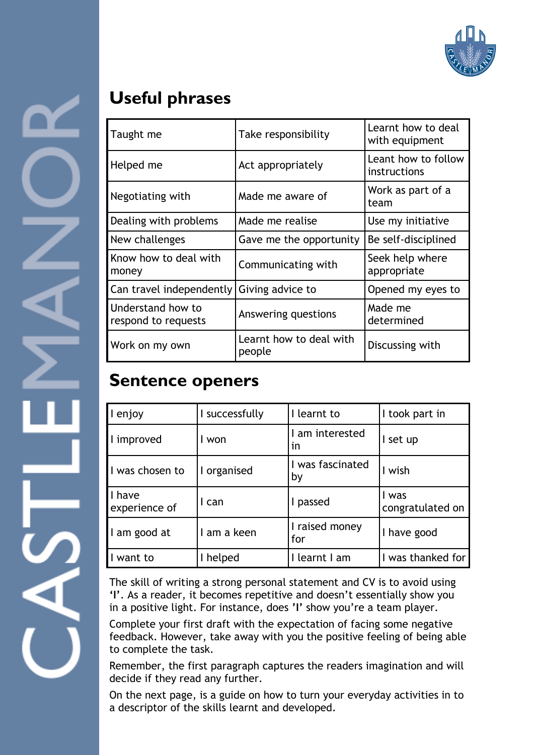

### **Useful phrases**

| Taught me                                | Take responsibility               | Learnt how to deal<br>with equipment |
|------------------------------------------|-----------------------------------|--------------------------------------|
| Helped me                                | Act appropriately                 | Leant how to follow<br>instructions  |
| Negotiating with                         | Made me aware of                  | Work as part of a<br>team            |
| Dealing with problems                    | Made me realise                   | Use my initiative                    |
| New challenges                           | Gave me the opportunity           | Be self-disciplined                  |
| Know how to deal with<br>money           | Communicating with                | Seek help where<br>appropriate       |
| Can travel independently                 | Giving advice to                  | Opened my eyes to                    |
| Understand how to<br>respond to requests | Answering questions               | Made me<br>determined                |
| Work on my own                           | Learnt how to deal with<br>people | Discussing with                      |

### **Sentence openers**

| I enjoy                 | I successfully | I learnt to            | I took part in            |
|-------------------------|----------------|------------------------|---------------------------|
| I improved              | won            | I am interested<br>in  | set up                    |
| I was chosen to         | I organised    | I was fascinated<br>by | I wish                    |
| I have<br>experience of | can            | passed                 | I was<br>congratulated on |
| I am good at            | am a keen      | I raised money<br>for  | I have good               |
| want to                 | helped         | learnt I am            | I was thanked for         |

The skill of writing a strong personal statement and CV is to avoid using **'I'**. As a reader, it becomes repetitive and doesn't essentially show you in a positive light. For instance, does **'I'** show you're a team player.

Complete your first draft with the expectation of facing some negative feedback. However, take away with you the positive feeling of being able to complete the task.

Remember, the first paragraph captures the readers imagination and will decide if they read any further.

On the next page, is a guide on how to turn your everyday activities in to a descriptor of the skills learnt and developed.